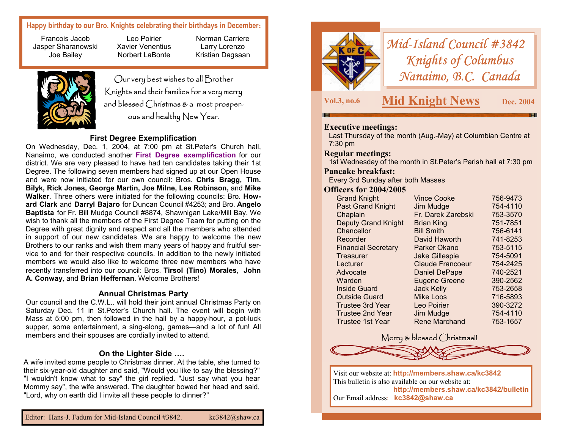# **Happy birthday to our Bro. Knights celebrating their birthdays in December:**

Francois Jacob Jasper Sharanowski Joe Bailey

Leo Poirier Xavier Venentius Norbert LaBonte

Our very best wishes to all Brother Knights and their families for a very merry and blessed Christmas & a most prosper-<br>
ous and healthy New Year.

Norman Carriere Larry Lorenzo Kristian Dagsaan

### **First Degree Exemplification**

On Wednesday, Dec. 1, 2004, at 7:00 pm at St.Peter's Church hall, Nanaimo, we conducted another **First Degree exemplification** for our district. We are very pleased to have had ten candidates taking their 1st Degree. The following seven members had signed up at our Open House and were now initiated for our own council: Bros. **Chris Bragg, Tim. Bilyk, Rick Jones, George Martin, Joe Milne, Lee Robinson,** and **Mike Walker**. Three others were initiated for the following councils: Bro. **Howard Clark** and **Darryl Bajaro** for Duncan Council #4253; and Bro. **Angelo Baptista** for Fr. Bill Mudge Council #8874, Shawnigan Lake/Mill Bay. We wish to thank all the members of the First Degree Team for putting on the Degree with great dignity and respect and all the members who attended in support of our new candidates. We are happy to welcome the new Brothers to our ranks and wish them many years of happy and fruitful service to and for their respective councils. In addition to the newly initiated members we would also like to welcome three new members who have recently transferred into our council: Bros. **Tirsol (Tino) Morales**, **John A. Conway**, and **Brian Heffernan**. Welcome Brothers!

#### **Annual Christmas Party**

Our council and the C.W.L.. will hold their joint annual Christmas Party on Saturday Dec. 11 in St.Peter's Church hall. The event will begin with Mass at 5:00 pm, then followed in the hall by a happy-hour, a pot-luck supper, some entertainment, a sing-along, games—and a lot of fun! All members and their spouses are cordially invited to attend.

### **On the Lighter Side ….**

A wife invited some people to Christmas dinner. At the table, she turned to their six-year-old daughter and said, "Would you like to say the blessing?" "I wouldn't know what to say" the girl replied. "Just say what you hear Mommy say", the wife answered. The daughter bowed her head and said, "Lord, why on earth did I invite all these people to dinner?"



*Mid-Island Council #3842 Knights of Columbus Nanaimo, B.C. Canada* 

# **Executive meetings:**

Last Thursday of the month (Aug.-May) at Columbian Centre at 7:30 pm

#### **Regular meetings:**

1st Wednesday of the month in St.Peter's Parish hall at 7:30 pm

### **Pancake breakfast:**

Every 3rd Sunday after both Masses

### **Officers for 2004/2005**

| <b>Grand Knight</b>        | <b>Vince Cooke</b>      | 756-9473 |
|----------------------------|-------------------------|----------|
| <b>Past Grand Knight</b>   | Jim Mudge               | 754-4110 |
| Chaplain                   | Fr. Darek Zarebski      | 753-3570 |
| <b>Deputy Grand Knight</b> | <b>Brian King</b>       | 751-7851 |
| Chancellor                 | <b>Bill Smith</b>       | 756-6141 |
| Recorder                   | David Haworth           | 741-8253 |
| <b>Financial Secretary</b> | Parker Okano            | 753-5115 |
| Treasurer                  | <b>Jake Gillespie</b>   | 754-5091 |
| Lecturer                   | <b>Claude Francoeur</b> | 754-2425 |
| Advocate                   | <b>Daniel DePape</b>    | 740-2521 |
| Warden                     | <b>Eugene Greene</b>    | 390-2562 |
| Inside Guard               | <b>Jack Kelly</b>       | 753-2658 |
| <b>Outside Guard</b>       | <b>Mike Loos</b>        | 716-5893 |
| Trustee 3rd Year           | Leo Poirier             | 390-3272 |
| Trustee 2nd Year           | Jim Mudge               | 754-4110 |
| Trustee 1st Year           | <b>Rene Marchand</b>    | 753-1657 |

# Merry & blessed Christmas!!



Visit our website at: **http://members.shaw.ca/kc3842**  This bulletin is also available on our website at: **http://members.shaw.ca/kc3842/bulletin**  Our Email address: **kc3842@shaw.ca**